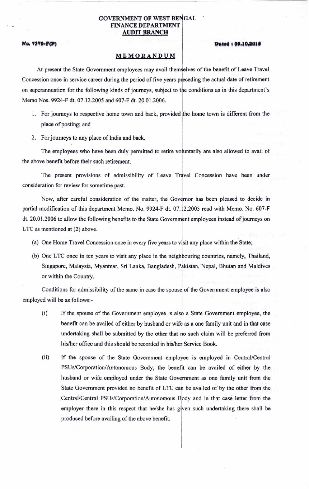## **GOVERNMENT OF WEST BENGAL** FINANCE DEPARTMENT AUDIT BRANCH

## No. 7370-F(P)

#### **•••••• , 0,,10,101'**

# MEMORANDUM

At present the State Government employees may avail themselves of the benefit of Leave Travel Concession once in service career during the period of five years preceding the actual date of retirement on superannuation for the following kinds of journeys, subject to the conditions as in this department's Memo Nos. 9924-F dt. 07.12.2005 and 607 -F dt. 20.01.2006.

- 1. For journeys to respective home town and back, provided the home town is different from the place of posting; and
- 2. For journeys to any place of India and back.

The employees who have been duly permitted to retire voluntarily are also allowed to avail of the above benefit before their such retirement.

The present provisions of admissibility of Leave Travel Concession have been under consideration for review for sometime past.

Now, after careful consideration of the matter, the Governor has been pleased to decide in partial modification of this department Memo. No. 9924-F dt. 07.12.2005 read with Memo. No. 607-F dt. 20.01.2006 to allow the following benefits to the State Government employees instead of journeys on LTC as mentioned at (2) above.

- (a) One Home Travel Concession once in every five years to visit any place within the State;
- (b) One LTC once in ten years to visit any place in the neighbouring countries, namely, Thailand, Singapore, Malaysia, Myanmar, Sri Lanka, Bangladesh, Pakistan, Nepal, Bhutan and Maldives or within the Country.

Conditions for admissibility of the same in case the spouse of the Government employee is also employed will be as follows:-

- (i) If the spouse of the Government employee is also a State Government employee, the benefit can be availed of either by husband or wife as a one family unit and in that case undertaking shall be submitted by the other that no such claim will be preferred from his/her office and this should be recorded in his/her Service Book.
- (ii) If the spouse of the State Government employee is employed in Central/Central PSUs/Corporation/Autonomous Body, the benefit can be availed of either by the husband or wife employed under the State Government as one family unit from the State Government provided no benefit of LTC can be availed of by the other from the Central/Central PSUs/Corporation/Autonomous Body and in that case letter from the employer there in this respect that he/she has given such undertaking there shall be produced before avaiiing of the above benefit.